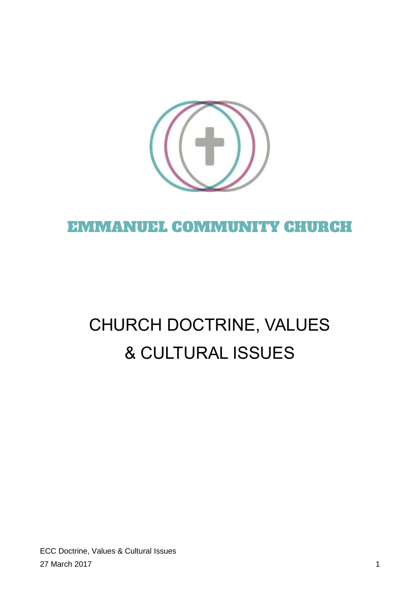

# EMMANUEL COMMUNITY CHURCH

# CHURCH DOCTRINE, VALUES & CULTURAL ISSUES

ECC Doctrine, Values & Cultural Issues 27 March 2017 1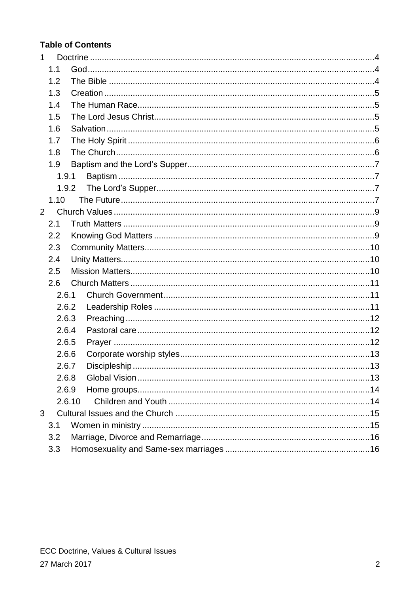# **Table of Contents**

| $\mathbf{1}$ |       |        |  |
|--------------|-------|--------|--|
|              | 1.1   |        |  |
|              | 1.2   |        |  |
|              | 1.3   |        |  |
| 1.4          |       |        |  |
| 1.5          |       |        |  |
|              | 1.6   |        |  |
|              | 1.7   |        |  |
| 1.8          |       |        |  |
| 1.9          |       |        |  |
|              | 1.9.1 |        |  |
|              | 1.9.2 |        |  |
|              | 1.10  |        |  |
| 2            |       |        |  |
| 2.1          |       |        |  |
|              | 2.2   |        |  |
| 2.3          |       |        |  |
| 2.4          |       |        |  |
|              | 2.5   |        |  |
|              | 2.6   |        |  |
|              | 2.6.1 |        |  |
|              | 2.6.2 |        |  |
|              | 2.6.3 |        |  |
|              | 2.6.4 |        |  |
|              | 2.6.5 |        |  |
|              | 2.6.6 |        |  |
|              | 2.6.7 |        |  |
|              | 2.6.8 |        |  |
|              | 2.6.9 |        |  |
|              |       | 2.6.10 |  |
| 3            |       |        |  |
|              | 3.1   |        |  |
|              | 3.2   |        |  |
|              | 3.3   |        |  |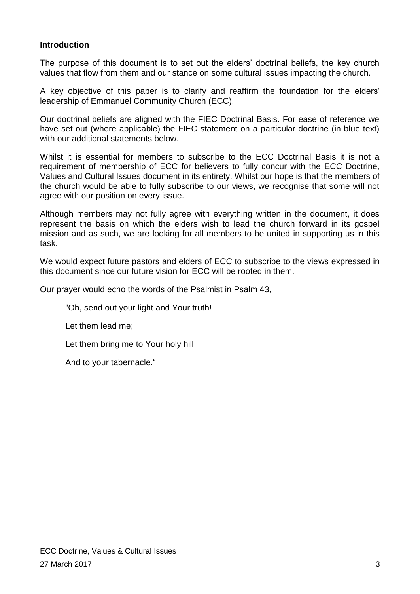#### **Introduction**

The purpose of this document is to set out the elders' doctrinal beliefs, the key church values that flow from them and our stance on some cultural issues impacting the church.

A key objective of this paper is to clarify and reaffirm the foundation for the elders' leadership of Emmanuel Community Church (ECC).

Our doctrinal beliefs are aligned with the FIEC Doctrinal Basis. For ease of reference we have set out (where applicable) the FIEC statement on a particular doctrine (in blue text) with our additional statements below.

Whilst it is essential for members to subscribe to the ECC Doctrinal Basis it is not a requirement of membership of ECC for believers to fully concur with the ECC Doctrine, Values and Cultural Issues document in its entirety. Whilst our hope is that the members of the church would be able to fully subscribe to our views, we recognise that some will not agree with our position on every issue.

Although members may not fully agree with everything written in the document, it does represent the basis on which the elders wish to lead the church forward in its gospel mission and as such, we are looking for all members to be united in supporting us in this task.

We would expect future pastors and elders of ECC to subscribe to the views expressed in this document since our future vision for ECC will be rooted in them.

Our prayer would echo the words of the Psalmist in Psalm 43,

"Oh, send out your light and Your truth!

Let them lead me;

Let them bring me to Your holy hill

And to your tabernacle."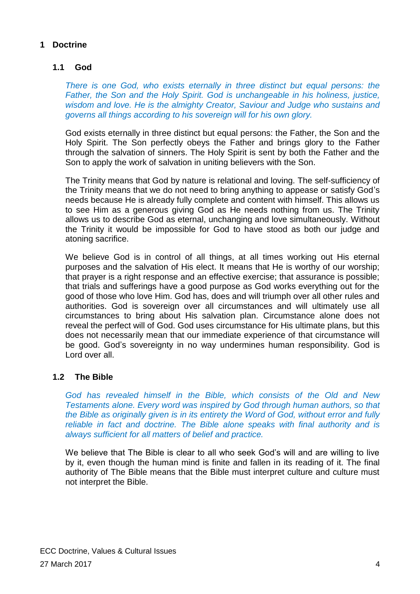# <span id="page-3-1"></span><span id="page-3-0"></span>**1 Doctrine**

# **1.1 God**

*There is one God, who exists eternally in three distinct but equal persons: the Father, the Son and the Holy Spirit. God is unchangeable in his holiness, justice, wisdom and love. He is the almighty Creator, Saviour and Judge who sustains and governs all things according to his sovereign will for his own glory.*

God exists eternally in three distinct but equal persons: the Father, the Son and the Holy Spirit. The Son perfectly obeys the Father and brings glory to the Father through the salvation of sinners. The Holy Spirit is sent by both the Father and the Son to apply the work of salvation in uniting believers with the Son.

The Trinity means that God by nature is relational and loving. The self-sufficiency of the Trinity means that we do not need to bring anything to appease or satisfy God's needs because He is already fully complete and content with himself. This allows us to see Him as a generous giving God as He needs nothing from us. The Trinity allows us to describe God as eternal, unchanging and love simultaneously. Without the Trinity it would be impossible for God to have stood as both our judge and atoning sacrifice.

We believe God is in control of all things, at all times working out His eternal purposes and the salvation of His elect. It means that He is worthy of our worship; that prayer is a right response and an effective exercise; that assurance is possible; that trials and sufferings have a good purpose as God works everything out for the good of those who love Him. God has, does and will triumph over all other rules and authorities. God is sovereign over all circumstances and will ultimately use all circumstances to bring about His salvation plan. Circumstance alone does not reveal the perfect will of God. God uses circumstance for His ultimate plans, but this does not necessarily mean that our immediate experience of that circumstance will be good. God's sovereignty in no way undermines human responsibility. God is Lord over all.

#### <span id="page-3-2"></span>**1.2 The Bible**

*God has revealed himself in the Bible, which consists of the Old and New Testaments alone. Every word was inspired by God through human authors, so that the Bible as originally given is in its entirety the Word of God, without error and fully reliable in fact and doctrine. The Bible alone speaks with final authority and is always sufficient for all matters of belief and practice.*

We believe that The Bible is clear to all who seek God's will and are willing to live by it, even though the human mind is finite and fallen in its reading of it. The final authority of The Bible means that the Bible must interpret culture and culture must not interpret the Bible.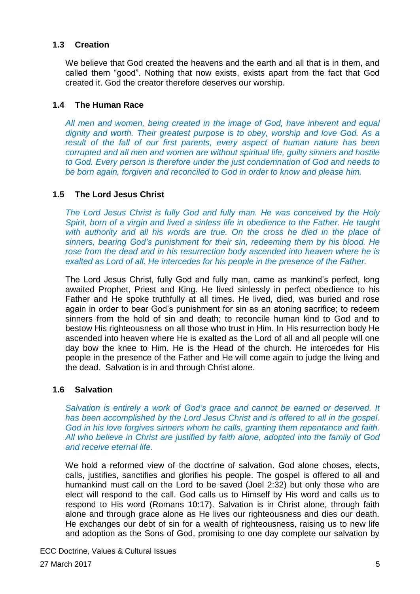#### <span id="page-4-0"></span>**1.3 Creation**

We believe that God created the heavens and the earth and all that is in them, and called them "good". Nothing that now exists, exists apart from the fact that God created it. God the creator therefore deserves our worship.

#### <span id="page-4-1"></span>**1.4 The Human Race**

*All men and women, being created in the image of God, have inherent and equal dignity and worth. Their greatest purpose is to obey, worship and love God. As a result of the fall of our first parents, every aspect of human nature has been corrupted and all men and women are without spiritual life, guilty sinners and hostile to God. Every person is therefore under the just condemnation of God and needs to be born again, forgiven and reconciled to God in order to know and please him.*

#### <span id="page-4-2"></span>**1.5 The Lord Jesus Christ**

*The Lord Jesus Christ is fully God and fully man. He was conceived by the Holy Spirit, born of a virgin and lived a sinless life in obedience to the Father. He taught with authority and all his words are true. On the cross he died in the place of sinners, bearing God's punishment for their sin, redeeming them by his blood. He rose from the dead and in his resurrection body ascended into heaven where he is exalted as Lord of all. He intercedes for his people in the presence of the Father.*

The Lord Jesus Christ, fully God and fully man, came as mankind's perfect, long awaited Prophet, Priest and King. He lived sinlessly in perfect obedience to his Father and He spoke truthfully at all times. He lived, died, was buried and rose again in order to bear God's punishment for sin as an atoning sacrifice; to redeem sinners from the hold of sin and death; to reconcile human kind to God and to bestow His righteousness on all those who trust in Him. In His resurrection body He ascended into heaven where He is exalted as the Lord of all and all people will one day bow the knee to Him. He is the Head of the church. He intercedes for His people in the presence of the Father and He will come again to judge the living and the dead. Salvation is in and through Christ alone.

#### <span id="page-4-3"></span>**1.6 Salvation**

*Salvation is entirely a work of God's grace and cannot be earned or deserved. It has been accomplished by the Lord Jesus Christ and is offered to all in the gospel. God in his love forgives sinners whom he calls, granting them repentance and faith. All who believe in Christ are justified by faith alone, adopted into the family of God and receive eternal life.*

We hold a reformed view of the doctrine of salvation. God alone choses, elects, calls, justifies, sanctifies and glorifies his people. The gospel is offered to all and humankind must call on the Lord to be saved (Joel 2:32) but only those who are elect will respond to the call. God calls us to Himself by His word and calls us to respond to His word (Romans 10:17). Salvation is in Christ alone, through faith alone and through grace alone as He lives our righteousness and dies our death. He exchanges our debt of sin for a wealth of righteousness, raising us to new life and adoption as the Sons of God, promising to one day complete our salvation by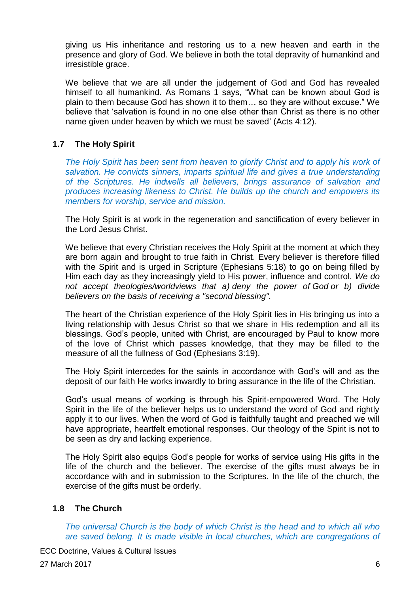giving us His inheritance and restoring us to a new heaven and earth in the presence and glory of God. We believe in both the total depravity of humankind and irresistible grace.

We believe that we are all under the judgement of God and God has revealed himself to all humankind. As Romans 1 says, "What can be known about God is plain to them because God has shown it to them… so they are without excuse." We believe that 'salvation is found in no one else other than Christ as there is no other name given under heaven by which we must be saved' (Acts 4:12).

#### <span id="page-5-0"></span>**1.7 The Holy Spirit**

*The Holy Spirit has been sent from heaven to glorify Christ and to apply his work of salvation. He convicts sinners, imparts spiritual life and gives a true understanding of the Scriptures. He indwells all believers, brings assurance of salvation and produces increasing likeness to Christ. He builds up the church and empowers its members for worship, service and mission.*

The Holy Spirit is at work in the regeneration and sanctification of every believer in the Lord Jesus Christ.

We believe that every Christian receives the Holy Spirit at the moment at which they are born again and brought to true faith in Christ. Every believer is therefore filled with the Spirit and is urged in Scripture (Ephesians 5:18) to go on being filled by Him each day as they increasingly yield to His power, influence and control. *We do not accept theologies/worldviews that a) deny the power of God or b) divide believers on the basis of receiving a "second blessing".*

The heart of the Christian experience of the Holy Spirit lies in His bringing us into a living relationship with Jesus Christ so that we share in His redemption and all its blessings. God's people, united with Christ, are encouraged by Paul to know more of the love of Christ which passes knowledge, that they may be filled to the measure of all the fullness of God (Ephesians 3:19).

The Holy Spirit intercedes for the saints in accordance with God's will and as the deposit of our faith He works inwardly to bring assurance in the life of the Christian.

God's usual means of working is through his Spirit-empowered Word. The Holy Spirit in the life of the believer helps us to understand the word of God and rightly apply it to our lives. When the word of God is faithfully taught and preached we will have appropriate, heartfelt emotional responses. Our theology of the Spirit is not to be seen as dry and lacking experience.

The Holy Spirit also equips God's people for works of service using His gifts in the life of the church and the believer. The exercise of the gifts must always be in accordance with and in submission to the Scriptures. In the life of the church, the exercise of the gifts must be orderly.

#### <span id="page-5-1"></span>**1.8 The Church**

*The universal Church is the body of which Christ is the head and to which all who are saved belong. It is made visible in local churches, which are congregations of*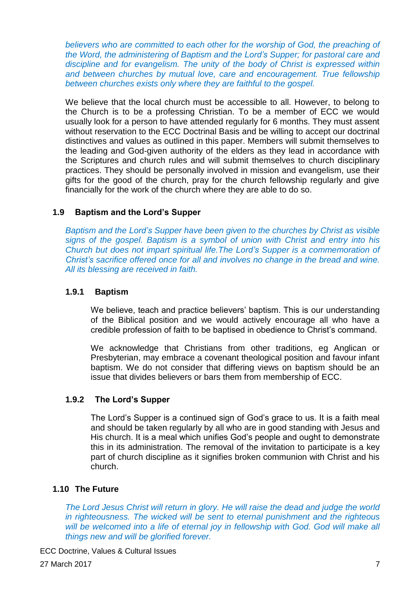*believers who are committed to each other for the worship of God, the preaching of the Word, the administering of Baptism and the Lord's Supper; for pastoral care and discipline and for evangelism. The unity of the body of Christ is expressed within and between churches by mutual love, care and encouragement. True fellowship between churches exists only where they are faithful to the gospel.*

We believe that the local church must be accessible to all. However, to belong to the Church is to be a professing Christian. To be a member of ECC we would usually look for a person to have attended regularly for 6 months. They must assent without reservation to the ECC Doctrinal Basis and be willing to accept our doctrinal distinctives and values as outlined in this paper. Members will submit themselves to the leading and God-given authority of the elders as they lead in accordance with the Scriptures and church rules and will submit themselves to church disciplinary practices. They should be personally involved in mission and evangelism, use their gifts for the good of the church, pray for the church fellowship regularly and give financially for the work of the church where they are able to do so.

#### <span id="page-6-0"></span>**1.9 Baptism and the Lord's Supper**

*Baptism and the Lord's Supper have been given to the churches by Christ as visible signs of the gospel. Baptism is a symbol of union with Christ and entry into his Church but does not impart spiritual life.The Lord's Supper is a commemoration of Christ's sacrifice offered once for all and involves no change in the bread and wine. All its blessing are received in faith.*

#### <span id="page-6-1"></span>**1.9.1 Baptism**

We believe, teach and practice believers' baptism. This is our understanding of the Biblical position and we would actively encourage all who have a credible profession of faith to be baptised in obedience to Christ's command.

We acknowledge that Christians from other traditions, eg Anglican or Presbyterian, may embrace a covenant theological position and favour infant baptism. We do not consider that differing views on baptism should be an issue that divides believers or bars them from membership of ECC.

#### <span id="page-6-2"></span>**1.9.2 The Lord's Supper**

The Lord's Supper is a continued sign of God's grace to us. It is a faith meal and should be taken regularly by all who are in good standing with Jesus and His church. It is a meal which unifies God's people and ought to demonstrate this in its administration. The removal of the invitation to participate is a key part of church discipline as it signifies broken communion with Christ and his church.

#### <span id="page-6-3"></span>**1.10 The Future**

*The Lord Jesus Christ will return in glory. He will raise the dead and judge the world in righteousness. The wicked will be sent to eternal punishment and the righteous will be welcomed into a life of eternal joy in fellowship with God. God will make all things new and will be glorified forever.*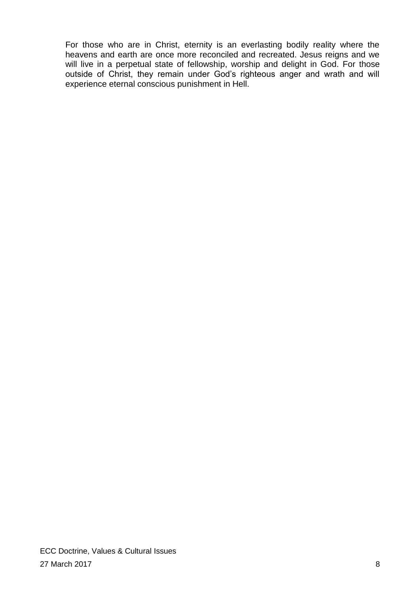For those who are in Christ, eternity is an everlasting bodily reality where the heavens and earth are once more reconciled and recreated. Jesus reigns and we will live in a perpetual state of fellowship, worship and delight in God. For those outside of Christ, they remain under God's righteous anger and wrath and will experience eternal conscious punishment in Hell.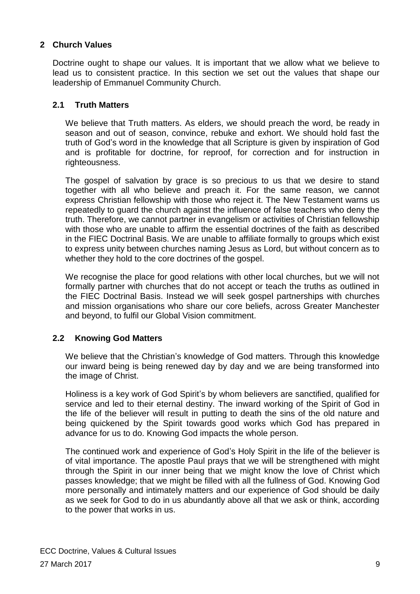## <span id="page-8-0"></span>**2 Church Values**

Doctrine ought to shape our values. It is important that we allow what we believe to lead us to consistent practice. In this section we set out the values that shape our leadership of Emmanuel Community Church.

#### <span id="page-8-1"></span>**2.1 Truth Matters**

We believe that Truth matters. As elders, we should preach the word, be ready in season and out of season, convince, rebuke and exhort. We should hold fast the truth of God's word in the knowledge that all Scripture is given by inspiration of God and is profitable for doctrine, for reproof, for correction and for instruction in righteousness.

The gospel of salvation by grace is so precious to us that we desire to stand together with all who believe and preach it. For the same reason, we cannot express Christian fellowship with those who reject it. The New Testament warns us repeatedly to guard the church against the influence of false teachers who deny the truth. Therefore, we cannot partner in evangelism or activities of Christian fellowship with those who are unable to affirm the essential doctrines of the faith as described in the FIEC Doctrinal Basis. We are unable to affiliate formally to groups which exist to express unity between churches naming Jesus as Lord, but without concern as to whether they hold to the core doctrines of the gospel.

We recognise the place for good relations with other local churches, but we will not formally partner with churches that do not accept or teach the truths as outlined in the FIEC Doctrinal Basis. Instead we will seek gospel partnerships with churches and mission organisations who share our core beliefs, across Greater Manchester and beyond, to fulfil our Global Vision commitment.

#### <span id="page-8-2"></span>**2.2 Knowing God Matters**

We believe that the Christian's knowledge of God matters. Through this knowledge our inward being is being renewed day by day and we are being transformed into the image of Christ.

Holiness is a key work of God Spirit's by whom believers are sanctified, qualified for service and led to their eternal destiny. The inward working of the Spirit of God in the life of the believer will result in putting to death the sins of the old nature and being quickened by the Spirit towards good works which God has prepared in advance for us to do. Knowing God impacts the whole person.

The continued work and experience of God's Holy Spirit in the life of the believer is of vital importance. The apostle Paul prays that we will be strengthened with might through the Spirit in our inner being that we might know the love of Christ which passes knowledge; that we might be filled with all the fullness of God. Knowing God more personally and intimately matters and our experience of God should be daily as we seek for God to do in us abundantly above all that we ask or think, according to the power that works in us.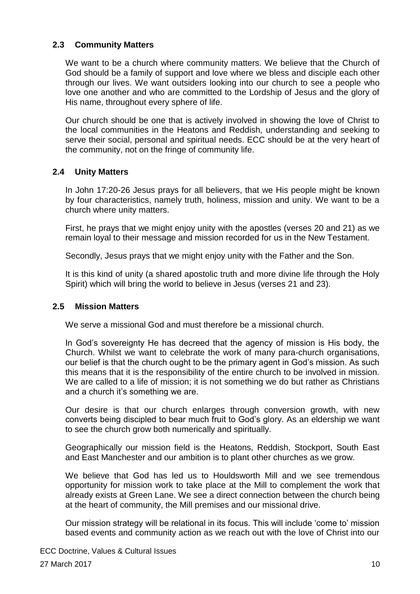#### <span id="page-9-0"></span>**2.3 Community Matters**

We want to be a church where community matters. We believe that the Church of God should be a family of support and love where we bless and disciple each other through our lives. We want outsiders looking into our church to see a people who love one another and who are committed to the Lordship of Jesus and the glory of His name, throughout every sphere of life.

Our church should be one that is actively involved in showing the love of Christ to the local communities in the Heatons and Reddish, understanding and seeking to serve their social, personal and spiritual needs. ECC should be at the very heart of the community, not on the fringe of community life.

#### <span id="page-9-1"></span>**2.4 Unity Matters**

In John 17:20-26 Jesus prays for all believers, that we His people might be known by four characteristics, namely truth, holiness, mission and unity. We want to be a church where unity matters.

First, he prays that we might enjoy unity with the apostles (verses 20 and 21) as we remain loyal to their message and mission recorded for us in the New Testament.

Secondly, Jesus prays that we might enjoy unity with the Father and the Son.

It is this kind of unity (a shared apostolic truth and more divine life through the Holy Spirit) which will bring the world to believe in Jesus (verses 21 and 23).

#### <span id="page-9-2"></span>**2.5 Mission Matters**

We serve a missional God and must therefore be a missional church.

In God's sovereignty He has decreed that the agency of mission is His body, the Church. Whilst we want to celebrate the work of many para-church organisations, our belief is that the church ought to be the primary agent in God's mission. As such this means that it is the responsibility of the entire church to be involved in mission. We are called to a life of mission; it is not something we do but rather as Christians and a church it's something we are.

Our desire is that our church enlarges through conversion growth, with new converts being discipled to bear much fruit to God's glory. As an eldership we want to see the church grow both numerically and spiritually.

Geographically our mission field is the Heatons, Reddish, Stockport, South East and East Manchester and our ambition is to plant other churches as we grow.

We believe that God has led us to Houldsworth Mill and we see tremendous opportunity for mission work to take place at the Mill to complement the work that already exists at Green Lane. We see a direct connection between the church being at the heart of community, the Mill premises and our missional drive.

Our mission strategy will be relational in its focus. This will include 'come to' mission based events and community action as we reach out with the love of Christ into our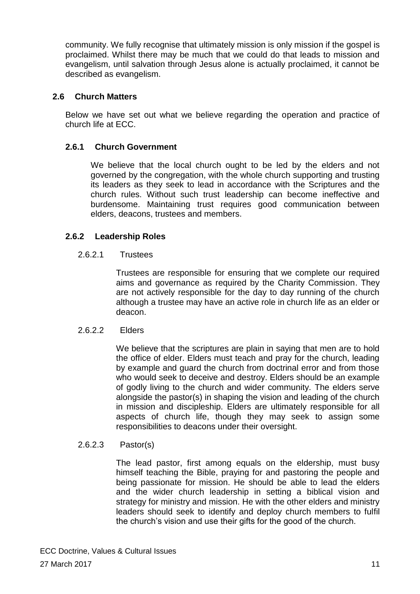community. We fully recognise that ultimately mission is only mission if the gospel is proclaimed. Whilst there may be much that we could do that leads to mission and evangelism, until salvation through Jesus alone is actually proclaimed, it cannot be described as evangelism.

#### <span id="page-10-0"></span>**2.6 Church Matters**

Below we have set out what we believe regarding the operation and practice of church life at ECC.

#### <span id="page-10-1"></span>**2.6.1 Church Government**

We believe that the local church ought to be led by the elders and not governed by the congregation, with the whole church supporting and trusting its leaders as they seek to lead in accordance with the Scriptures and the church rules. Without such trust leadership can become ineffective and burdensome. Maintaining trust requires good communication between elders, deacons, trustees and members.

#### <span id="page-10-2"></span>**2.6.2 Leadership Roles**

#### 2.6.2.1 Trustees

Trustees are responsible for ensuring that we complete our required aims and governance as required by the Charity Commission. They are not actively responsible for the day to day running of the church although a trustee may have an active role in church life as an elder or deacon.

#### 2.6.2.2 Elders

We believe that the scriptures are plain in saying that men are to hold the office of elder. Elders must teach and pray for the church, leading by example and guard the church from doctrinal error and from those who would seek to deceive and destroy. Elders should be an example of godly living to the church and wider community. The elders serve alongside the pastor(s) in shaping the vision and leading of the church in mission and discipleship. Elders are ultimately responsible for all aspects of church life, though they may seek to assign some responsibilities to deacons under their oversight.

#### 2.6.2.3 Pastor(s)

The lead pastor, first among equals on the eldership, must busy himself teaching the Bible, praying for and pastoring the people and being passionate for mission. He should be able to lead the elders and the wider church leadership in setting a biblical vision and strategy for ministry and mission. He with the other elders and ministry leaders should seek to identify and deploy church members to fulfil the church's vision and use their gifts for the good of the church.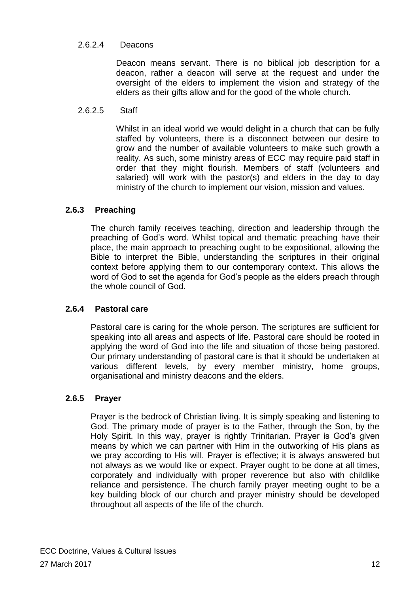## 2.6.2.4 Deacons

Deacon means servant. There is no biblical job description for a deacon, rather a deacon will serve at the request and under the oversight of the elders to implement the vision and strategy of the elders as their gifts allow and for the good of the whole church.

#### 2.6.2.5 Staff

Whilst in an ideal world we would delight in a church that can be fully staffed by volunteers, there is a disconnect between our desire to grow and the number of available volunteers to make such growth a reality. As such, some ministry areas of ECC may require paid staff in order that they might flourish. Members of staff (volunteers and salaried) will work with the pastor(s) and elders in the day to day ministry of the church to implement our vision, mission and values.

#### <span id="page-11-0"></span>**2.6.3 Preaching**

The church family receives teaching, direction and leadership through the preaching of God's word. Whilst topical and thematic preaching have their place, the main approach to preaching ought to be expositional, allowing the Bible to interpret the Bible, understanding the scriptures in their original context before applying them to our contemporary context. This allows the word of God to set the agenda for God's people as the elders preach through the whole council of God.

#### <span id="page-11-1"></span>**2.6.4 Pastoral care**

Pastoral care is caring for the whole person. The scriptures are sufficient for speaking into all areas and aspects of life. Pastoral care should be rooted in applying the word of God into the life and situation of those being pastored. Our primary understanding of pastoral care is that it should be undertaken at various different levels, by every member ministry, home groups, organisational and ministry deacons and the elders.

#### <span id="page-11-2"></span>**2.6.5 Prayer**

Prayer is the bedrock of Christian living. It is simply speaking and listening to God. The primary mode of prayer is to the Father, through the Son, by the Holy Spirit. In this way, prayer is rightly Trinitarian. Prayer is God's given means by which we can partner with Him in the outworking of His plans as we pray according to His will. Prayer is effective; it is always answered but not always as we would like or expect. Prayer ought to be done at all times, corporately and individually with proper reverence but also with childlike reliance and persistence. The church family prayer meeting ought to be a key building block of our church and prayer ministry should be developed throughout all aspects of the life of the church.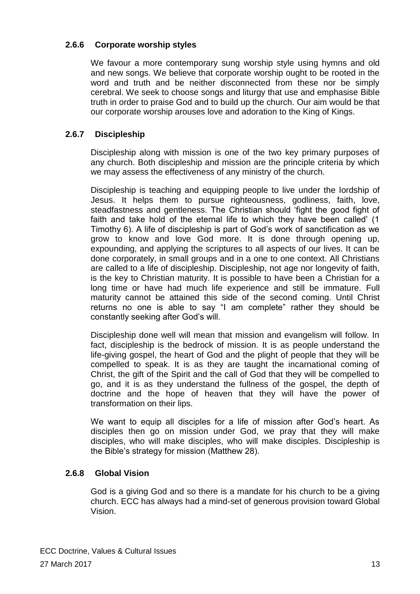# <span id="page-12-0"></span>**2.6.6 Corporate worship styles**

We favour a more contemporary sung worship style using hymns and old and new songs. We believe that corporate worship ought to be rooted in the word and truth and be neither disconnected from these nor be simply cerebral. We seek to choose songs and liturgy that use and emphasise Bible truth in order to praise God and to build up the church. Our aim would be that our corporate worship arouses love and adoration to the King of Kings.

# <span id="page-12-1"></span>**2.6.7 Discipleship**

Discipleship along with mission is one of the two key primary purposes of any church. Both discipleship and mission are the principle criteria by which we may assess the effectiveness of any ministry of the church.

Discipleship is teaching and equipping people to live under the lordship of Jesus. It helps them to pursue righteousness, godliness, faith, love, steadfastness and gentleness. The Christian should 'fight the good fight of faith and take hold of the eternal life to which they have been called' (1 Timothy 6). A life of discipleship is part of God's work of sanctification as we grow to know and love God more. It is done through opening up, expounding, and applying the scriptures to all aspects of our lives. It can be done corporately, in small groups and in a one to one context. All Christians are called to a life of discipleship. Discipleship, not age nor longevity of faith, is the key to Christian maturity. It is possible to have been a Christian for a long time or have had much life experience and still be immature. Full maturity cannot be attained this side of the second coming. Until Christ returns no one is able to say "I am complete" rather they should be constantly seeking after God's will.

Discipleship done well will mean that mission and evangelism will follow. In fact, discipleship is the bedrock of mission. It is as people understand the life-giving gospel, the heart of God and the plight of people that they will be compelled to speak. It is as they are taught the incarnational coming of Christ, the gift of the Spirit and the call of God that they will be compelled to go, and it is as they understand the fullness of the gospel, the depth of doctrine and the hope of heaven that they will have the power of transformation on their lips.

We want to equip all disciples for a life of mission after God's heart. As disciples then go on mission under God, we pray that they will make disciples, who will make disciples, who will make disciples. Discipleship is the Bible's strategy for mission (Matthew 28).

#### <span id="page-12-2"></span>**2.6.8 Global Vision**

God is a giving God and so there is a mandate for his church to be a giving church. ECC has always had a mind-set of generous provision toward Global Vision.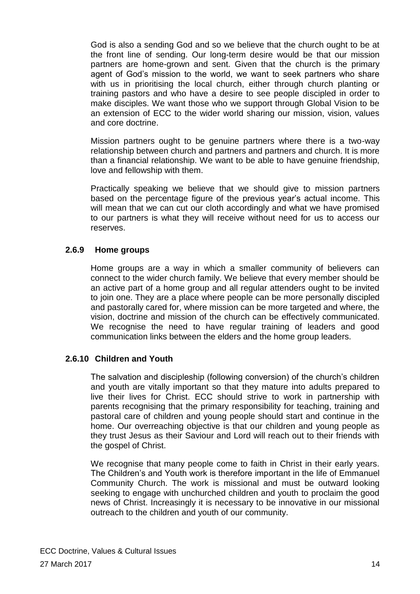God is also a sending God and so we believe that the church ought to be at the front line of sending. Our long-term desire would be that our mission partners are home-grown and sent. Given that the church is the primary agent of God's mission to the world, we want to seek partners who share with us in prioritising the local church, either through church planting or training pastors and who have a desire to see people discipled in order to make disciples. We want those who we support through Global Vision to be an extension of ECC to the wider world sharing our mission, vision, values and core doctrine.

Mission partners ought to be genuine partners where there is a two-way relationship between church and partners and partners and church. It is more than a financial relationship. We want to be able to have genuine friendship, love and fellowship with them.

Practically speaking we believe that we should give to mission partners based on the percentage figure of the previous year's actual income. This will mean that we can cut our cloth accordingly and what we have promised to our partners is what they will receive without need for us to access our reserves.

#### <span id="page-13-0"></span>**2.6.9 Home groups**

Home groups are a way in which a smaller community of believers can connect to the wider church family. We believe that every member should be an active part of a home group and all regular attenders ought to be invited to join one. They are a place where people can be more personally discipled and pastorally cared for, where mission can be more targeted and where, the vision, doctrine and mission of the church can be effectively communicated. We recognise the need to have regular training of leaders and good communication links between the elders and the home group leaders.

#### <span id="page-13-1"></span>**2.6.10 Children and Youth**

The salvation and discipleship (following conversion) of the church's children and youth are vitally important so that they mature into adults prepared to live their lives for Christ. ECC should strive to work in partnership with parents recognising that the primary responsibility for teaching, training and pastoral care of children and young people should start and continue in the home. Our overreaching objective is that our children and young people as they trust Jesus as their Saviour and Lord will reach out to their friends with the gospel of Christ.

We recognise that many people come to faith in Christ in their early years. The Children's and Youth work is therefore important in the life of Emmanuel Community Church. The work is missional and must be outward looking seeking to engage with unchurched children and youth to proclaim the good news of Christ. Increasingly it is necessary to be innovative in our missional outreach to the children and youth of our community.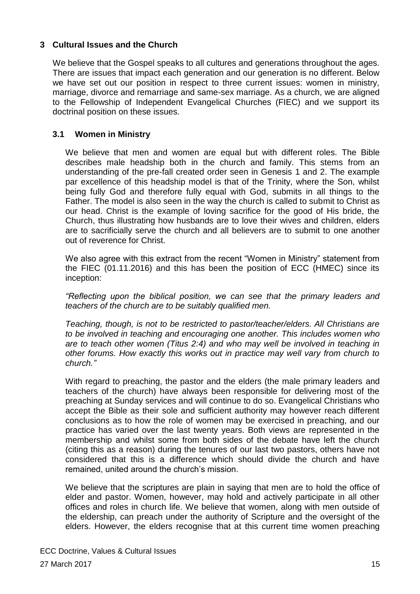#### <span id="page-14-0"></span>**3 Cultural Issues and the Church**

We believe that the Gospel speaks to all cultures and generations throughout the ages. There are issues that impact each generation and our generation is no different. Below we have set out our position in respect to three current issues: women in ministry, marriage, divorce and remarriage and same-sex marriage. As a church, we are aligned to the Fellowship of Independent Evangelical Churches (FIEC) and we support its doctrinal position on these issues.

#### <span id="page-14-1"></span>**3.1 Women in Ministry**

We believe that men and women are equal but with different roles. The Bible describes male headship both in the church and family. This stems from an understanding of the pre-fall created order seen in Genesis 1 and 2. The example par excellence of this headship model is that of the Trinity, where the Son, whilst being fully God and therefore fully equal with God, submits in all things to the Father. The model is also seen in the way the church is called to submit to Christ as our head. Christ is the example of loving sacrifice for the good of His bride, the Church, thus illustrating how husbands are to love their wives and children, elders are to sacrificially serve the church and all believers are to submit to one another out of reverence for Christ.

We also agree with this extract from the recent "Women in Ministry" statement from the FIEC (01.11.2016) and this has been the position of ECC (HMEC) since its inception:

*"Reflecting upon the biblical position, we can see that the primary leaders and teachers of the church are to be suitably qualified men.*

*Teaching, though, is not to be restricted to pastor/teacher/elders. All Christians are to be involved in teaching and encouraging one another. This includes women who are to teach other women (Titus 2:4) and who may well be involved in teaching in other forums. How exactly this works out in practice may well vary from church to church."*

With regard to preaching, the pastor and the elders (the male primary leaders and teachers of the church) have always been responsible for delivering most of the preaching at Sunday services and will continue to do so. Evangelical Christians who accept the Bible as their sole and sufficient authority may however reach different conclusions as to how the role of women may be exercised in preaching, and our practice has varied over the last twenty years. Both views are represented in the membership and whilst some from both sides of the debate have left the church (citing this as a reason) during the tenures of our last two pastors, others have not considered that this is a difference which should divide the church and have remained, united around the church's mission.

We believe that the scriptures are plain in saying that men are to hold the office of elder and pastor. Women, however, may hold and actively participate in all other offices and roles in church life. We believe that women, along with men outside of the eldership, can preach under the authority of Scripture and the oversight of the elders. However, the elders recognise that at this current time women preaching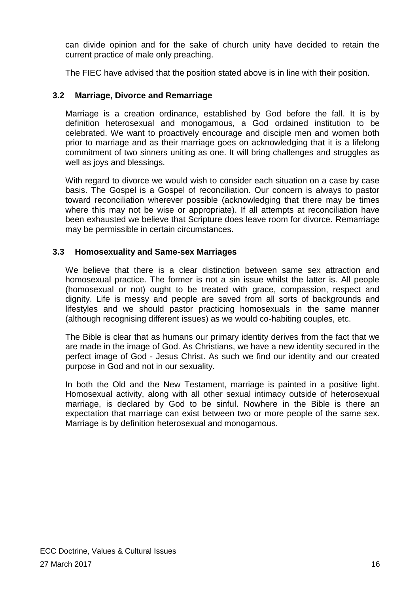can divide opinion and for the sake of church unity have decided to retain the current practice of male only preaching.

The FIEC have advised that the position stated above is in line with their position.

# <span id="page-15-0"></span>**3.2 Marriage, Divorce and Remarriage**

Marriage is a creation ordinance, established by God before the fall. It is by definition heterosexual and monogamous, a God ordained institution to be celebrated. We want to proactively encourage and disciple men and women both prior to marriage and as their marriage goes on acknowledging that it is a lifelong commitment of two sinners uniting as one. It will bring challenges and struggles as well as joys and blessings.

With regard to divorce we would wish to consider each situation on a case by case basis. The Gospel is a Gospel of reconciliation. Our concern is always to pastor toward reconciliation wherever possible (acknowledging that there may be times where this may not be wise or appropriate). If all attempts at reconciliation have been exhausted we believe that Scripture does leave room for divorce. Remarriage may be permissible in certain circumstances.

# <span id="page-15-1"></span>**3.3 Homosexuality and Same-sex Marriages**

We believe that there is a clear distinction between same sex attraction and homosexual practice. The former is not a sin issue whilst the latter is. All people (homosexual or not) ought to be treated with grace, compassion, respect and dignity. Life is messy and people are saved from all sorts of backgrounds and lifestyles and we should pastor practicing homosexuals in the same manner (although recognising different issues) as we would co-habiting couples, etc.

The Bible is clear that as humans our primary identity derives from the fact that we are made in the image of God. As Christians, we have a new identity secured in the perfect image of God - Jesus Christ. As such we find our identity and our created purpose in God and not in our sexuality.

In both the Old and the New Testament, marriage is painted in a positive light. Homosexual activity, along with all other sexual intimacy outside of heterosexual marriage, is declared by God to be sinful. Nowhere in the Bible is there an expectation that marriage can exist between two or more people of the same sex. Marriage is by definition heterosexual and monogamous.